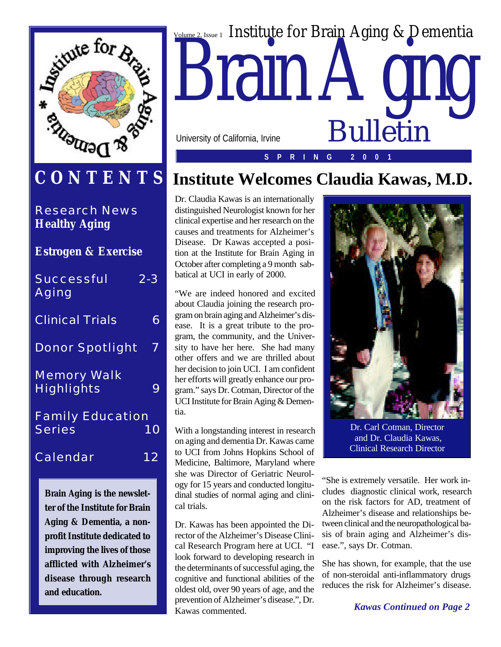

## **CONTENTS**

Research News **Healthy Aging**

| <b>Estrogen &amp; Exercise</b>           |         |
|------------------------------------------|---------|
| Successful<br>Aging                      | $2 - 3$ |
| <b>Clinical Trials</b>                   | 6       |
| Donor Spotlight                          | 7       |
| <b>Memory Walk</b><br><b>Highlights</b>  |         |
| <b>Family Education</b><br><b>Series</b> | 10      |
| Calendar                                 | 12      |

*Brain Aging is the newsletter of the Institute for Brain Aging & Dementia, a nonprofit Institute dedicated to improving the lives of those afflicted with Alzheimer's disease through research and education.*



## **Institute Welcomes Claudia Kawas, M.D.**

Dr. Claudia Kawas is an internationally distinguished Neurologist known for her clinical expertise and her research on the causes and treatments for Alzheimer's Disease. Dr Kawas accepted a position at the Institute for Brain Aging in October after completing a 9 month sabbatical at UCI in early of 2000.

"We are indeed honored and excited about Claudia joining the research program on brain aging and Alzheimer's disease. It is a great tribute to the program, the community, and the University to have her here. She had many other offers and we are thrilled about her decision to join UCI. I am confident her efforts will greatly enhance our program." says Dr. Cotman, Director of the UCI Institute for Brain Aging & Dementia.

With a longstanding interest in research on aging and dementia Dr. Kawas came to UCI from Johns Hopkins School of Medicine, Baltimore, Maryland where she was Director of Geriatric Neurology for 15 years and conducted longitudinal studies of normal aging and clinical trials.

Dr. Kawas has been appointed the Director of the Alzheimer's Disease Clinical Research Program here at UCI. "I look forward to developing research in the determinants of successful aging, the cognitive and functional abilities of the oldest old, over 90 years of age, and the prevention of Alzheimer's disease.", Dr. Kawas commented.



Dr. Carl Cotman, Director and Dr. Claudia Kawas, Clinical Research Director

"She is extremely versatile. Her work includes diagnostic clinical work, research on the risk factors for AD, treatment of Alzheimer's disease and relationships between clinical and the neuropathological basis of brain aging and Alzheimer's disease.", says Dr. Cotman.

She has shown, for example, that the use of non-steroidal anti-inflammatory drugs reduces the risk for Alzheimer's disease.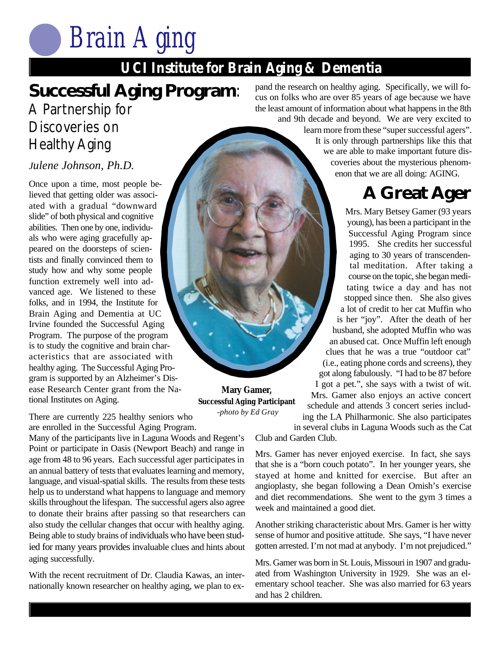### **UCI Institute for Brain Aging & Dementia**

## **Successful Aging Program**:

## A Partnership for Discoveries on Healthy Aging

#### *Julene Johnson, Ph.D.*

Once upon a time, most people believed that getting older was associated with a gradual "downward slide" of both physical and cognitive abilities. Then one by one, individuals who were aging gracefully appeared on the doorsteps of scientists and finally convinced them to study how and why some people function extremely well into advanced age. We listened to these folks, and in 1994, the Institute for Brain Aging and Dementia at UC Irvine founded the Successful Aging Program. The purpose of the program is to study the cognitive and brain characteristics that are associated with healthy aging. The Successful Aging Program is supported by an Alzheimer's Disease Research Center grant from the National Institutes on Aging.

There are currently 225 healthy seniors who are enrolled in the Successful Aging Program.

Many of the participants live in Laguna Woods and Regent's Point or participate in Oasis (Newport Beach) and range in age from 48 to 96 years. Each successful ager participates in an annual battery of tests that evaluates learning and memory, language, and visual-spatial skills. The results from these tests help us to understand what happens to language and memory skills throughout the lifespan. The successful agers also agree to donate their brains after passing so that researchers can also study the cellular changes that occur with healthy aging. Being able to study brains of individuals who have been studied for many years provides invaluable clues and hints about aging successfully.

With the recent recruitment of Dr. Claudia Kawas, an internationally known researcher on healthy aging, we plan to ex-

**UCI IS A DEMENT OF BRAIN Aging Agency** Specifically, we will focus on folks who are over 85 years of age because we have the least amount of information about what happens in the 8th and 9th decade and beyond. We are very excited to

learn more from these "super successful agers". It is only through partnerships like this that we are able to make important future discoveries about the mysterious phenomenon that we are all doing: AGING.

## **A Great Ager**

Mrs. Mary Betsey Gamer (93 years young), has been a participant in the Successful Aging Program since 1995. She credits her successful aging to 30 years of transcendental meditation. After taking a course on the topic, she began meditating twice a day and has not stopped since then. She also gives a lot of credit to her cat Muffin who is her "joy". After the death of her husband, she adopted Muffin who was an abused cat. Once Muffin left enough clues that he was a true "outdoor cat" (i.e., eating phone cords and screens), they got along fabulously. "I had to be 87 before I got a pet.", she says with a twist of wit. Mrs. Gamer also enjoys an active concert schedule and attends 3 concert series including the LA Philharmonic. She also participates in several clubs in Laguna Woods such as the Cat

Club and Garden Club.

**Mary Gamer, Successful Aging Participant** *-photo by Ed Gray*

> Mrs. Gamer has never enjoyed exercise. In fact, she says that she is a "born couch potato". In her younger years, she stayed at home and knitted for exercise. But after an angioplasty, she began following a Dean Ornish's exercise and diet recommendations. She went to the gym 3 times a week and maintained a good diet.

> Another striking characteristic about Mrs. Gamer is her witty sense of humor and positive attitude. She says, "I have never gotten arrested. I'm not mad at anybody. I'm not prejudiced."

> Mrs. Gamer was born in St. Louis, Missouri in 1907 and graduated from Washington University in 1929. She was an elementary school teacher. She was also married for 63 years and has 2 children.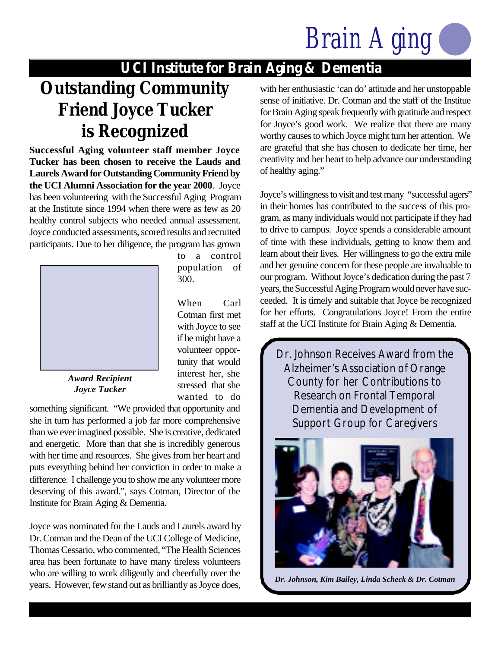### **UCI Institute for Brain Aging & Dementia**

## **Outstanding Community Friend Joyce Tucker is Recognized**

**Successful Aging volunteer staff member Joyce Tucker has been chosen to receive the Lauds and Laurels Award for Outstanding Community Friend by the UCI Alumni Association for the year 2000**. Joyce has been volunteering with the Successful Aging Program at the Institute since 1994 when there were as few as 20 healthy control subjects who needed annual assessment. Joyce conducted assessments, scored results and recruited participants. Due to her diligence, the program has grown



to a control population of 300.

When Carl Cotman first met with Joyce to see if he might have a volunteer opportunity that would interest her, she stressed that she wanted to do

*Award Recipient Joyce Tucker*

something significant. "We provided that opportunity and she in turn has performed a job far more comprehensive than we ever imagined possible. She is creative, dedicated and energetic. More than that she is incredibly generous with her time and resources. She gives from her heart and puts everything behind her conviction in order to make a difference. I challenge you to show me any volunteer more deserving of this award.", says Cotman, Director of the Institute for Brain Aging & Dementia.

Joyce was nominated for the Lauds and Laurels award by Dr. Cotman and the Dean of the UCI College of Medicine, Thomas Cessario, who commented, "The Health Sciences area has been fortunate to have many tireless volunteers who are willing to work diligently and cheerfully over the years. However, few stand out as brilliantly as Joyce does, with her enthusiastic 'can do' attitude and her unstoppable sense of initiative. Dr. Cotman and the staff of the Institue for Brain Aging speak frequently with gratitude and respect for Joyce's good work. We realize that there are many worthy causes to which Joyce might turn her attention. We are grateful that she has chosen to dedicate her time, her creativity and her heart to help advance our understanding of healthy aging."

Joyce's willingness to visit and test many "successful agers" in their homes has contributed to the success of this program, as many individuals would not participate if they had to drive to campus. Joyce spends a considerable amount of time with these individuals, getting to know them and learn about their lives. Her willingness to go the extra mile and her genuine concern for these people are invaluable to our program. Without Joyce's dedication during the past 7 years, the Successful Aging Program would never have succeeded. It is timely and suitable that Joyce be recognized for her efforts. Congratulations Joyce! From the entire staff at the UCI Institute for Brain Aging & Dementia.



*Dr. Johnson, Kim Bailey, Linda Scheck & Dr. Cotman*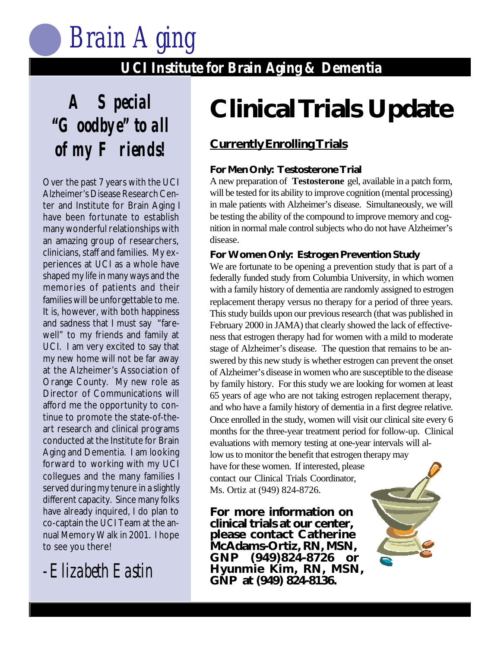

#### **UCI Institute for Brain Aging & Dementia UCI Institute for Brain Aging & Dementia**

**A Special "Goodbye" to all of my Friends!**

Over the past 7 years with the UCI Alzheimer's Disease Research Center and Institute for Brain Aging I have been fortunate to establish many wonderful relationships with an amazing group of researchers, clinicians, staff and families. My experiences at UCI as a whole have shaped my life in many ways and the memories of patients and their families will be unforgettable to me. It is, however, with both happiness and sadness that I must say "farewell" to my friends and family at UCI. I am very excited to say that my new home will not be far away at the Alzheimer's Association of Orange County. My new role as Director of Communications will afford me the opportunity to continue to promote the state-of-theart research and clinical programs conducted at the Institute for Brain Aging and Dementia. I am looking forward to working with my UCI collegues and the many families I served during my tenure in a slightly different capacity. Since many folks have already inquired, I do plan to co-captain the UCI Team at the annual Memory Walk in 2001. I hope to see you there!

-Elizabeth Eastin

## **Clinical Trials Update**

### **Currently Enrolling Trials**

#### **For Men Only: Testosterone Trial**

A new preparation of **Testosterone** gel, available in a patch form, will be tested for its ability to improve cognition (mental processing) in male patients with Alzheimer's disease. Simultaneously, we will be testing the ability of the compound to improve memory and cognition in normal male control subjects who do not have Alzheimer's disease.

#### **For Women Only: Estrogen Prevention Study**

We are fortunate to be opening a prevention study that is part of a federally funded study from Columbia University, in which women with a family history of dementia are randomly assigned to estrogen replacement therapy versus no therapy for a period of three years. This study builds upon our previous research (that was published in February 2000 in JAMA) that clearly showed the lack of effectiveness that estrogen therapy had for women with a mild to moderate stage of Alzheimer's disease. The question that remains to be answered by this new study is whether estrogen can prevent the onset of Alzheimer's disease in women who are susceptible to the disease by family history. For this study we are looking for women at least 65 years of age who are not taking estrogen replacement therapy, and who have a family history of dementia in a first degree relative. Once enrolled in the study, women will visit our clinical site every 6 months for the three-year treatment period for follow-up. Clinical evaluations with memory testing at one-year intervals will allow us to monitor the benefit that estrogen therapy may

have for these women. If interested, please contact our Clinical Trials Coordinator, Ms. Ortiz at (949) 824-8726.

**For more information on clinical trials at our center, please contact Catherine McAdams-Ortiz, RN, MSN, GNP (949)824-8726 or Hyunmie Kim, RN, MSN, GNP at (949) 824-8136.**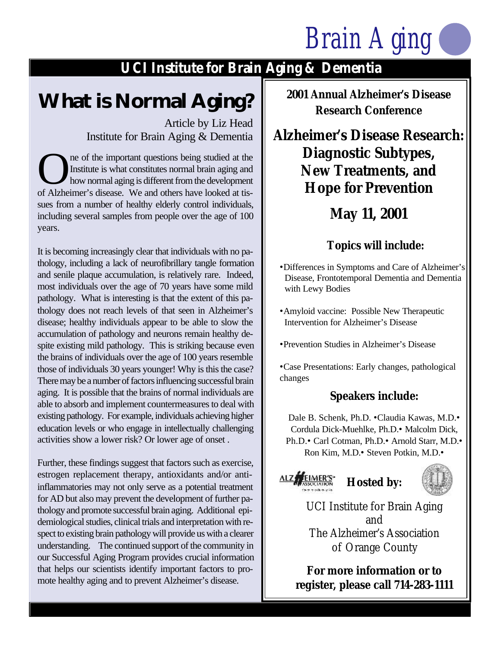## **UCI Institute for Brain Aging & Dementia**

## **What is Normal Aging?**

Article by Liz Head Institute for Brain Aging & Dementia

The of the important questions being studied at the Institute is what constitutes normal brain aging and how normal aging is different from the development of Alzheimer's disease. We and others have looked at tisne of the important questions being studied at the Institute is what constitutes normal brain aging and how normal aging is different from the development sues from a number of healthy elderly control individuals, including several samples from people over the age of 100 years.

It is becoming increasingly clear that individuals with no pathology, including a lack of neurofibrillary tangle formation and senile plaque accumulation, is relatively rare. Indeed, most individuals over the age of 70 years have some mild pathology. What is interesting is that the extent of this pathology does not reach levels of that seen in Alzheimer's disease; healthy individuals appear to be able to slow the accumulation of pathology and neurons remain healthy despite existing mild pathology. This is striking because even the brains of individuals over the age of 100 years resemble those of individuals 30 years younger! Why is this the case? There may be a number of factors influencing successful brain aging. It is possible that the brains of normal individuals are able to absorb and implement countermeasures to deal with existing pathology. For example, individuals achieving higher education levels or who engage in intellectually challenging activities show a lower risk? Or lower age of onset .

Further, these findings suggest that factors such as exercise, estrogen replacement therapy, antioxidants and/or antiinflammatories may not only serve as a potential treatment for AD but also may prevent the development of further pathology and promote successful brain aging. Additional epidemiological studies, clinical trials and interpretation with respect to existing brain pathology will provide us with a clearer understanding. The continued support of the community in our Successful Aging Program provides crucial information that helps our scientists identify important factors to promote healthy aging and to prevent Alzheimer's disease.

**2001 Annual Alzheimer's Disease Research Conference**

**Alzheimer's Disease Research: Diagnostic Subtypes, New Treatments, and Hope for Prevention**

## **May 11, 2001**

#### **Topics will include:**

•Differences in Symptoms and Care of Alzheimer's Disease, Frontotemporal Dementia and Dementia with Lewy Bodies

- •Amyloid vaccine: Possible New Therapeutic Intervention for Alzheimer's Disease
- •Prevention Studies in Alzheimer's Disease

•Case Presentations: Early changes, pathological changes

### **Speakers include:**

Dale B. Schenk, Ph.D. •Claudia Kawas, M.D.• Cordula Dick-Muehlke, Ph.D.• Malcolm Dick, Ph.D.• Carl Cotman, Ph.D.• Arnold Starr, M.D.• Ron Kim, M.D.• Steven Potkin, M.D.•





UCI Institute for Brain Aging and The Alzheimer's Association of Orange County

**For more information or to register, please call 714-283-1111**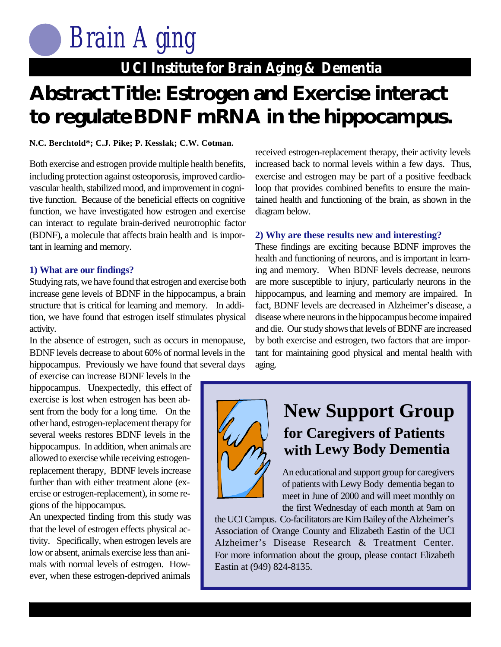## **UCI Institute for Brain Aging & Dementia**

## **UCI Institute for Brain Aging & Dementia Abstract Title: Estrogen and Exercise interact to regulateBDNF mRNA in the hippocampus.**

#### **N.C. Berchtold\*; C.J. Pike; P. Kesslak; C.W. Cotman.**

Both exercise and estrogen provide multiple health benefits, including protection against osteoporosis, improved cardiovascular health, stabilized mood, and improvement in cognitive function. Because of the beneficial effects on cognitive function, we have investigated how estrogen and exercise can interact to regulate brain-derived neurotrophic factor (BDNF), a molecule that affects brain health and is important in learning and memory.

#### **1) What are our findings?**

Studying rats, we have found that estrogen and exercise both increase gene levels of BDNF in the hippocampus, a brain structure that is critical for learning and memory. In addition, we have found that estrogen itself stimulates physical activity.

In the absence of estrogen, such as occurs in menopause, BDNF levels decrease to about 60% of normal levels in the hippocampus. Previously we have found that several days

of exercise can increase BDNF levels in the hippocampus. Unexpectedly, this effect of exercise is lost when estrogen has been absent from the body for a long time. On the other hand, estrogen-replacement therapy for several weeks restores BDNF levels in the hippocampus. In addition, when animals are allowed to exercise while receiving estrogenreplacement therapy, BDNF levels increase further than with either treatment alone (exercise or estrogen-replacement), in some regions of the hippocampus.

An unexpected finding from this study was that the level of estrogen effects physical activity. Specifically, when estrogen levels are low or absent, animals exercise less than animals with normal levels of estrogen. However, when these estrogen-deprived animals

received estrogen-replacement therapy, their activity levels increased back to normal levels within a few days. Thus, exercise and estrogen may be part of a positive feedback loop that provides combined benefits to ensure the maintained health and functioning of the brain, as shown in the diagram below.

#### **2) Why are these results new and interesting?**

These findings are exciting because BDNF improves the health and functioning of neurons, and is important in learning and memory. When BDNF levels decrease, neurons are more susceptible to injury, particularly neurons in the hippocampus, and learning and memory are impaired. In fact, BDNF levels are decreased in Alzheimer's disease, a disease where neurons in the hippocampus become impaired and die. Our study shows that levels of BDNF are increased by both exercise and estrogen, two factors that are important for maintaining good physical and mental health with aging.



## **New Support Group for Caregivers of Patients with Lewy Body Dementia**

An educational and support group for caregivers of patients with Lewy Body dementia began to meet in June of 2000 and will meet monthly on the first Wednesday of each month at 9am on

the UCI Campus. Co-facilitators are Kim Bailey of the Alzheimer's Association of Orange County and Elizabeth Eastin of the UCI Alzheimer's Disease Research & Treatment Center. For more information about the group, please contact Elizabeth Eastin at (949) 824-8135.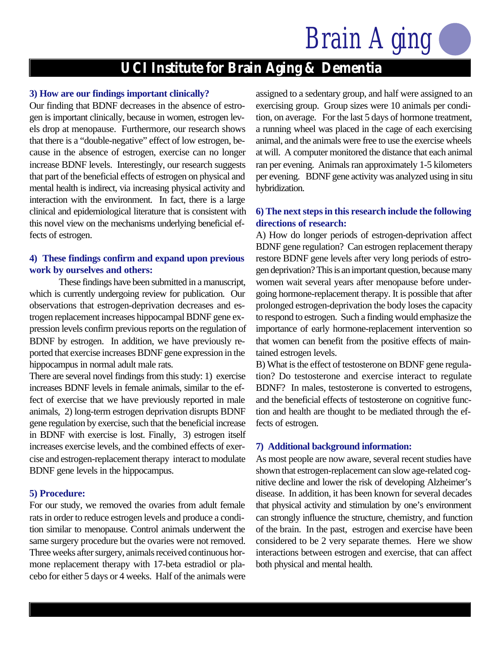## **UCI Institute for Brain Aging & Dementia**

#### **3) How are our findings important clinically?**

Our finding that BDNF decreases in the absence of estrogen is important clinically, because in women, estrogen levels drop at menopause. Furthermore, our research shows that there is a "double-negative" effect of low estrogen, because in the absence of estrogen, exercise can no longer increase BDNF levels. Interestingly, our research suggests that part of the beneficial effects of estrogen on physical and mental health is indirect, via increasing physical activity and interaction with the environment. In fact, there is a large clinical and epidemiological literature that is consistent with this novel view on the mechanisms underlying beneficial effects of estrogen.

#### **4) These findings confirm and expand upon previous work by ourselves and others:**

These findings have been submitted in a manuscript, which is currently undergoing review for publication. Our observations that estrogen-deprivation decreases and estrogen replacement increases hippocampal BDNF gene expression levels confirm previous reports on the regulation of BDNF by estrogen. In addition, we have previously reported that exercise increases BDNF gene expression in the hippocampus in normal adult male rats.

There are several novel findings from this study: 1) exercise increases BDNF levels in female animals, similar to the effect of exercise that we have previously reported in male animals, 2) long-term estrogen deprivation disrupts BDNF gene regulation by exercise, such that the beneficial increase in BDNF with exercise is lost. Finally, 3) estrogen itself increases exercise levels, and the combined effects of exercise and estrogen-replacement therapy interact to modulate BDNF gene levels in the hippocampus.

#### **5) Procedure:**

For our study, we removed the ovaries from adult female rats in order to reduce estrogen levels and produce a condition similar to menopause. Control animals underwent the same surgery procedure but the ovaries were not removed. Three weeks after surgery, animals received continuous hormone replacement therapy with 17-beta estradiol or placebo for either 5 days or 4 weeks. Half of the animals were assigned to a sedentary group, and half were assigned to an exercising group. Group sizes were 10 animals per condition, on average. For the last 5 days of hormone treatment, a running wheel was placed in the cage of each exercising animal, and the animals were free to use the exercise wheels at will. A computer monitored the distance that each animal ran per evening. Animals ran approximately 1-5 kilometers per evening. BDNF gene activity was analyzed using in situ hybridization.

#### **6) The next steps in this research include the following directions of research:**

A) How do longer periods of estrogen-deprivation affect BDNF gene regulation? Can estrogen replacement therapy restore BDNF gene levels after very long periods of estrogen deprivation? This is an important question, because many women wait several years after menopause before undergoing hormone-replacement therapy. It is possible that after prolonged estrogen-deprivation the body loses the capacity to respond to estrogen. Such a finding would emphasize the importance of early hormone-replacement intervention so that women can benefit from the positive effects of maintained estrogen levels.

B) What is the effect of testosterone on BDNF gene regulation? Do testosterone and exercise interact to regulate BDNF? In males, testosterone is converted to estrogens, and the beneficial effects of testosterone on cognitive function and health are thought to be mediated through the effects of estrogen.

#### **7) Additional background information:**

As most people are now aware, several recent studies have shown that estrogen-replacement can slow age-related cognitive decline and lower the risk of developing Alzheimer's disease. In addition, it has been known for several decades that physical activity and stimulation by one's environment can strongly influence the structure, chemistry, and function of the brain. In the past, estrogen and exercise have been considered to be 2 very separate themes. Here we show interactions between estrogen and exercise, that can affect both physical and mental health.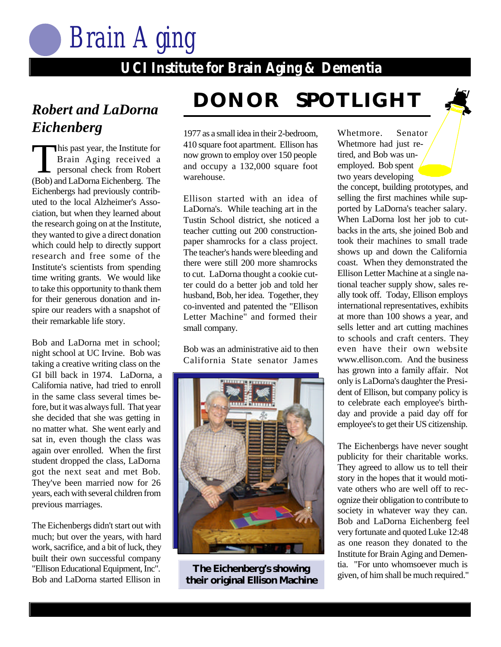

### **UCI Institute for Brain Aging & Dementia UCI Institute for Brain Aging & Dementia**

# *Eichenberg*

This past year, the Institute for<br>Brain Aging received a<br>personal check from Robert Brain Aging received a personal check from Robert (Bob) and LaDorna Eichenberg. The Eichenbergs had previously contributed to the local Alzheimer's Association, but when they learned about the research going on at the Institute, they wanted to give a direct donation which could help to directly support research and free some of the Institute's scientists from spending time writing grants. We would like to take this opportunity to thank them for their generous donation and inspire our readers with a snapshot of their remarkable life story.

Bob and LaDorna met in school; night school at UC Irvine. Bob was taking a creative writing class on the GI bill back in 1974. LaDorna, a California native, had tried to enroll in the same class several times before, but it was always full. That year she decided that she was getting in no matter what. She went early and sat in, even though the class was again over enrolled. When the first student dropped the class, LaDorna got the next seat and met Bob. They've been married now for 26 years, each with several children from previous marriages.

The Eichenbergs didn't start out with much; but over the years, with hard work, sacrifice, and a bit of luck, they built their own successful company "Ellison Educational Equipment, Inc". Bob and LaDorna started Ellison in

## **DONOR SPOTLIGHT** *Robert and LaDorna*

1977 as a small idea in their 2-bedroom, 410 square foot apartment. Ellison has now grown to employ over 150 people and occupy a 132,000 square foot warehouse.

Ellison started with an idea of LaDorna's. While teaching art in the Tustin School district, she noticed a teacher cutting out 200 constructionpaper shamrocks for a class project. The teacher's hands were bleeding and there were still 200 more shamrocks to cut. LaDorna thought a cookie cutter could do a better job and told her husband, Bob, her idea. Together, they co-invented and patented the "Ellison Letter Machine" and formed their small company.

Bob was an administrative aid to then California State senator James



**their original Ellison Machine**

Whetmore. Senator Whetmore had just retired, and Bob was unemployed. Bob spent two years developing

the concept, building prototypes, and selling the first machines while supported by LaDorna's teacher salary. When LaDorna lost her job to cutbacks in the arts, she joined Bob and took their machines to small trade shows up and down the California coast. When they demonstrated the Ellison Letter Machine at a single national teacher supply show, sales really took off. Today, Ellison employs international representatives, exhibits at more than 100 shows a year, and sells letter and art cutting machines to schools and craft centers. They even have their own website www.ellison.com. And the business has grown into a family affair. Not only is LaDorna's daughter the President of Ellison, but company policy is to celebrate each employee's birthday and provide a paid day off for employee's to get their US citizenship.

The Eichenbergs have never sought publicity for their charitable works. They agreed to allow us to tell their story in the hopes that it would motivate others who are well off to recognize their obligation to contribute to society in whatever way they can. Bob and LaDorna Eichenberg feel very fortunate and quoted Luke 12:48 as one reason they donated to the Institute for Brain Aging and Dementia. "For unto whomsoever much is **The Eichenberg's showing** the Fortuno whomsoever much is<br>existent required." **The much required." The Eichenberg of the Showing** siven, of him shall be much required."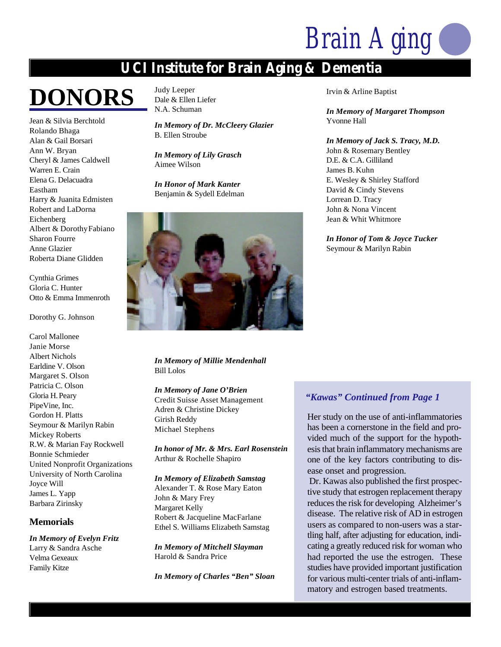### **UCI Institute for Brain Aging & Dementia**

## **DONORS**

Jean & Silvia Berchtold Rolando Bhaga Alan & Gail Borsari Ann W. Bryan Cheryl & James Caldwell Warren E. Crain Elena G. Delacuadra Eastham Harry & Juanita Edmisten Robert and LaDorna Eichenberg Albert & DorothyFabiano Sharon Fourre Anne Glazier Roberta Diane Glidden

Cynthia Grimes Gloria C. Hunter Otto & Emma Immenroth

Dorothy G. Johnson

Carol Mallonee Janie Morse Albert Nichols Earldine V. Olson Margaret S. Olson Patricia C. Olson Gloria H.Peary PipeVine, Inc. Gordon H. Platts Seymour & Marilyn Rabin Mickey Roberts R.W. & Marian Fay Rockwell Bonnie Schmieder United Nonprofit Organizations University of North Carolina Joyce Will James L. Yapp Barbara Zirinsky

#### **Memorials**

*In Memory of Evelyn Fritz* Larry & Sandra Asche Velma Gexeaux Family Kitze

Judy Leeper Dale & Ellen Liefer N.A. Schuman

*In Memory of Dr. McCleery Glazier* B. Ellen Stroube

*In Memory of Lily Grasch* Aimee Wilson

*In Honor of Mark Kanter* Benjamin & Sydell Edelman



*In Memory of Millie Mendenhall* Bill Lolos

#### *In Memory of Jane O'Brien*

Credit Suisse Asset Management Adren & Christine Dickey Girish Reddy Michael Stephens

*In honor of Mr. & Mrs. Earl Rosenstein* Arthur & Rochelle Shapiro

*In Memory of Elizabeth Samstag* Alexander T. & Rose Mary Eaton John & Mary Frey Margaret Kelly Robert & Jacqueline MacFarlane Ethel S. Williams Elizabeth Samstag

*In Memory of Mitchell Slayman* Harold & Sandra Price

*In Memory of Charles "Ben" Sloan*

Irvin & Arline Baptist

*In Memory of Margaret Thompson* Yvonne Hall

*In Memory of Jack S. Tracy, M.D.* John & Rosemary Bentley D.E. & C.A. Gilliland James B. Kuhn E. Wesley & Shirley Stafford David & Cindy Stevens Lorrean D. Tracy John & Nona Vincent Jean & Whit Whitmore

*In Honor of Tom & Joyce Tucker* Seymour & Marilyn Rabin

#### *"Kawas" Continued from Page 1*

Her study on the use of anti-inflammatories has been a cornerstone in the field and provided much of the support for the hypothesis that brain inflammatory mechanisms are one of the key factors contributing to disease onset and progression.

 Dr. Kawas also published the first prospective study that estrogen replacement therapy reduces the risk for developing Alzheimer's disease. The relative risk of AD in estrogen users as compared to non-users was a startling half, after adjusting for education, indicating a greatly reduced risk for woman who had reported the use the estrogen. These studies have provided important justification for various multi-center trials of anti-inflammatory and estrogen based treatments.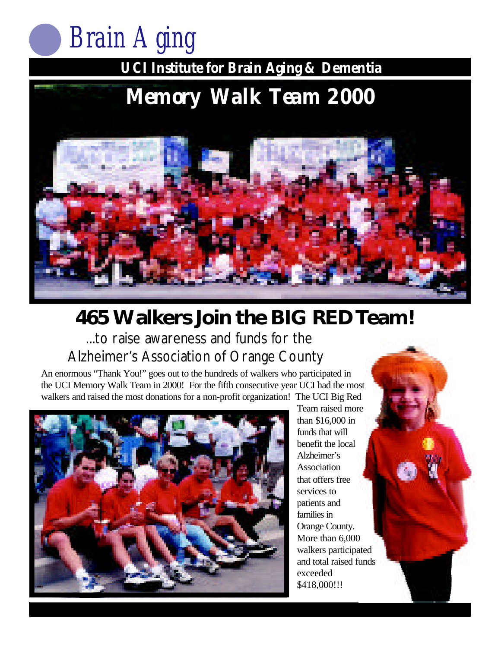

**UCI Institute for Brain Aging & Dementia**

### **UCI Institute for Brain Aging & Dementia Memory Walk Team 2000**



## **465 Walkers Join the BIG RED Team!** ...to raise awareness and funds for the

Alzheimer's Association of Orange County

An enormous "Thank You!" goes out to the hundreds of walkers who participated in the UCI Memory Walk Team in 2000! For the fifth consecutive year UCI had the most walkers and raised the most donations for a non-profit organization! The UCI Big Red



Team raised more than \$16,000 in funds that will benefit the local Alzheimer's Association that offers free services to patients and families in Orange County. More than 6,000 walkers participated and total raised funds exceeded \$418,000!!!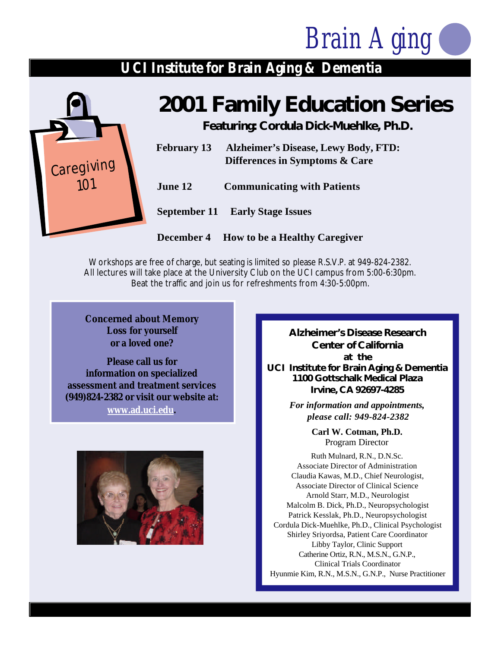### **UCI Institute for Brain Aging & Dementia**



## **2001 Family Education Series**

**Featuring: Cordula Dick-Muehlke, Ph.D.**

| <b>Alzheimer's Disease, Lewy Body, FTD:</b><br>Differences in Symptoms & Care |
|-------------------------------------------------------------------------------|
| <b>Communicating with Patients</b>                                            |
| <b>September 11 Early Stage Issues</b>                                        |
|                                                                               |

**December 4 How to be a Healthy Caregiver**

Workshops are free of charge, but seating is limited so please R.S.V.P. at 949-824-2382. All lectures will take place at the University Club on the UCI campus from 5:00-6:30pm. Beat the traffic and join us for refreshments from 4:30-5:00pm.

**Concerned about Memory Loss for yourself or a loved one?**

**Please call us for information on specialized assessment and treatment services (949)824-2382 or visit our website at:**

**www.ad.uci.edu.**



**Alzheimer's Disease Research Center of California at the UCI Institute for Brain Aging & Dementia 1100 Gottschalk Medical Plaza Irvine, CA 92697-4285**

> *For information and appointments, please call: 949-824-2382*

> > **Carl W. Cotman, Ph.D.** Program Director

Ruth Mulnard, R.N., D.N.Sc. Associate Director of Administration Claudia Kawas, M.D., Chief Neurologist, Associate Director of Clinical Science Arnold Starr, M.D., Neurologist Malcolm B. Dick, Ph.D., Neuropsychologist Patrick Kesslak, Ph.D., Neuropsychologist Cordula Dick-Muehlke, Ph.D., Clinical Psychologist Shirley Sriyordsa, Patient Care Coordinator Libby Taylor, Clinic Support Catherine Ortiz, R.N., M.S.N., G.N.P., Clinical Trials Coordinator Hyunmie Kim, R.N., M.S.N., G.N.P., Nurse Practitioner